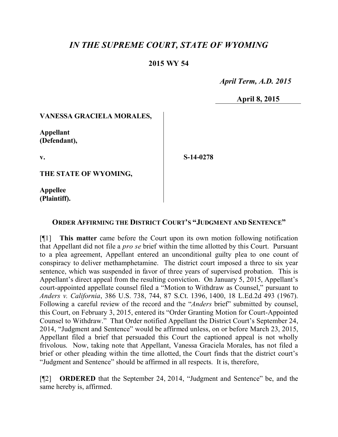# *IN THE SUPREME COURT, STATE OF WYOMING*

### **2015 WY 54**

 *April Term, A.D. 2015*

**April 8, 2015**

#### **VANESSA GRACIELA MORALES,**

**Appellant (Defendant),**

**v.**

**S-14-0278**

**THE STATE OF WYOMING,**

**Appellee (Plaintiff).**

#### **ORDER AFFIRMING THE DISTRICT COURT'S "JUDGMENT AND SENTENCE"**

[¶1] **This matter** came before the Court upon its own motion following notification that Appellant did not file a *pro se* brief within the time allotted by this Court. Pursuant to a plea agreement, Appellant entered an unconditional guilty plea to one count of conspiracy to deliver methamphetamine. The district court imposed a three to six year sentence, which was suspended in favor of three years of supervised probation. This is Appellant's direct appeal from the resulting conviction. On January 5, 2015, Appellant's court-appointed appellate counsel filed a "Motion to Withdraw as Counsel," pursuant to *Anders v. California*, 386 U.S. 738, 744, 87 S.Ct. 1396, 1400, 18 L.Ed.2d 493 (1967). Following a careful review of the record and the "*Anders* brief" submitted by counsel, this Court, on February 3, 2015, entered its "Order Granting Motion for Court-Appointed Counsel to Withdraw." That Order notified Appellant the District Court's September 24, 2014, "Judgment and Sentence" would be affirmed unless, on or before March 23, 2015, Appellant filed a brief that persuaded this Court the captioned appeal is not wholly frivolous. Now, taking note that Appellant, Vanessa Graciela Morales, has not filed a brief or other pleading within the time allotted, the Court finds that the district court's "Judgment and Sentence" should be affirmed in all respects. It is, therefore,

[¶2] **ORDERED** that the September 24, 2014, "Judgment and Sentence" be, and the same hereby is, affirmed.